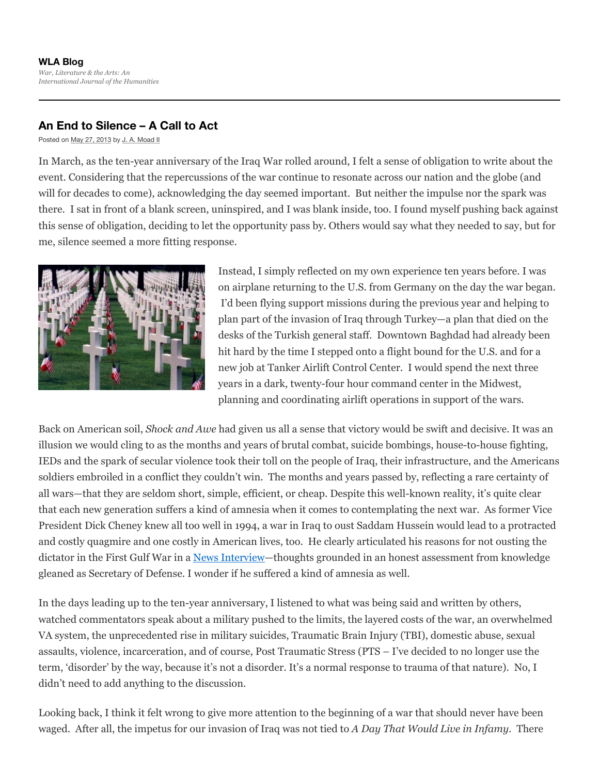## **An End to Silence – A Call to Act**

Posted on May 27, 2013 by J. A. Moad II

In March, as the ten-year anniversary of the Iraq War rolled around, I felt a sense of obligation to write about the event. Considering that the repercussions of the war continue to resonate across our nation and the globe (and will for decades to come), acknowledging the day seemed important. But neither the impulse nor the spark was there. I sat in front of a blank screen, uninspired, and I was blank inside, too. I found myself pushing back against this sense of obligation, deciding to let the opportunity pass by. Others would say what they needed to say, but for me, silence seemed a more fitting response.



Instead, I simply reflected on my own experience ten years before. I was on airplane returning to the U.S. from Germany on the day the war began. I'd been flying support missions during the previous year and helping to plan part of the invasion of Iraq through Turkey—a plan that died on the desks of the Turkish general staff. Downtown Baghdad had already been hit hard by the time I stepped onto a flight bound for the U.S. and for a new job at Tanker Airlift Control Center. I would spend the next three years in a dark, twenty-four hour command center in the Midwest, planning and coordinating airlift operations in support of the wars.

Back on American soil, *Shock and Awe* had given us all a sense that victory would be swift and decisive. It was an illusion we would cling to as the months and years of brutal combat, suicide bombings, house-to-house fighting, IEDs and the spark of secular violence took their toll on the people of Iraq, their infrastructure, and the Americans soldiers embroiled in a conflict they couldn't win. The months and years passed by, reflecting a rare certainty of all wars—that they are seldom short, simple, efficient, or cheap. Despite this well-known reality, it's quite clear that each new generation suffers a kind of amnesia when it comes to contemplating the next war. As former Vice President Dick Cheney knew all too well in 1994, a war in Iraq to oust Saddam Hussein would lead to a protracted and costly quagmire and one costly in American lives, too. He clearly articulated his reasons for not ousting the dictator in the First Gulf War in a <u>News Interview</u>—thoughts grounded in an honest assessment from knowledge gleaned as Secretary of Defense. I wonder if he suffered a kind of amnesia as well.

In the days leading up to the ten-year anniversary, I listened to what was being said and written by others, watched commentators speak about a military pushed to the limits, the layered costs of the war, an overwhelmed VA system, the unprecedented rise in military suicides, Traumatic Brain Injury (TBI), domestic abuse, sexual assaults, violence, incarceration, and of course, Post Traumatic Stress (PTS – I've decided to no longer use the term, 'disorder' by the way, because it's not a disorder. It's a normal response to trauma of that nature). No, I didn't need to add anything to the discussion.

Looking back, I think it felt wrong to give more attention to the beginning of a war that should never have been waged. After all, the impetus for our invasion of Iraq was not tied to *A Day That Would Live in Infamy.* There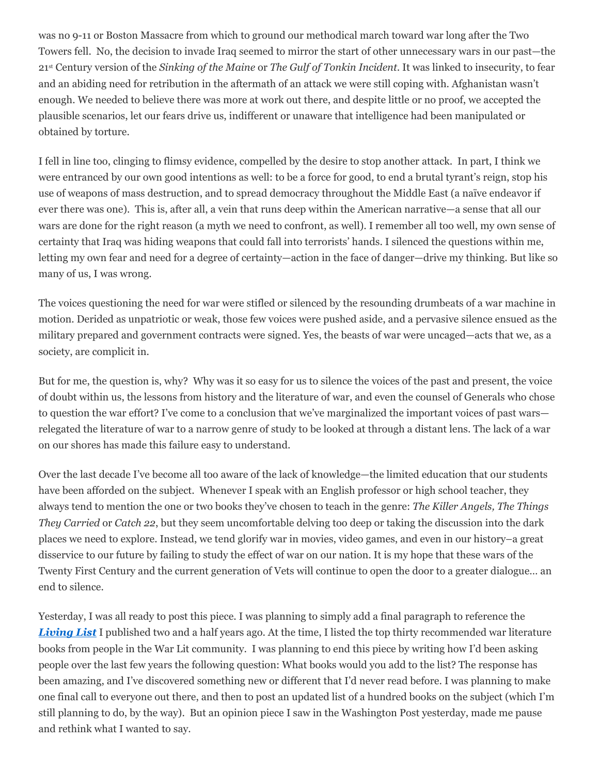was no 9-11 or Boston Massacre from which to ground our methodical march toward war long after the Two Towers fell. No, the decision to invade Iraq seemed to mirror the start of other unnecessary wars in our past—the 21 Century version of the *Sinking of the Maine* or *The Gulf of Tonkin Incident*. It was linked to insecurity, to fear stand an abiding need for retribution in the aftermath of an attack we were still coping with. Afghanistan wasn't enough. We needed to believe there was more at work out there, and despite little or no proof, we accepted the plausible scenarios, let our fears drive us, indifferent or unaware that intelligence had been manipulated or obtained by torture.

I fell in line too, clinging to flimsy evidence, compelled by the desire to stop another attack. In part, I think we were entranced by our own good intentions as well: to be a force for good, to end a brutal tyrant's reign, stop his use of weapons of mass destruction, and to spread democracy throughout the Middle East (a naïve endeavor if ever there was one). This is, after all, a vein that runs deep within the American narrative—a sense that all our wars are done for the right reason (a myth we need to confront, as well). I remember all too well, my own sense of certainty that Iraq was hiding weapons that could fall into terrorists' hands. I silenced the questions within me, letting my own fear and need for a degree of certainty—action in the face of danger—drive my thinking. But like so many of us, I was wrong.

The voices questioning the need for war were stifled or silenced by the resounding drumbeats of a war machine in motion. Derided as unpatriotic or weak, those few voices were pushed aside, and a pervasive silence ensued as the military prepared and government contracts were signed. Yes, the beasts of war were uncaged—acts that we, as a society, are complicit in.

But for me, the question is, why? Why was it so easy for us to silence the voices of the past and present, the voice of doubt within us, the lessons from history and the literature of war, and even the counsel of Generals who chose to question the war effort? I've come to a conclusion that we've marginalized the important voices of past wars relegated the literature of war to a narrow genre of study to be looked at through a distant lens. The lack of a war on our shores has made this failure easy to understand.

Over the last decade I've become all too aware of the lack of knowledge—the limited education that our students have been afforded on the subject. Whenever I speak with an English professor or high school teacher, they always tend to mention the one or two books they've chosen to teach in the genre: *The Killer Angels, The Things They Carried* or *Catch 22*, but they seem uncomfortable delving too deep or taking the discussion into the dark places we need to explore. Instead, we tend glorify war in movies, video games, and even in our history–a great disservice to our future by failing to study the effect of war on our nation. It is my hope that these wars of the Twenty First Century and the current generation of Vets will continue to open the door to a greater dialogue… an end to silence.

Yesterday, I was all ready to post this piece. I was planning to simply add a final paragraph to reference the *Living List* I published two and a half years ago. At the time, I listed the top thirty recommended war literature books from people in the War Lit community. I was planning to end this piece by writing how I'd been asking people over the last few years the following question: What books would you add to the list? The response has been amazing, and I've discovered something new or different that I'd never read before. I was planning to make one final call to everyone out there, and then to post an updated list of a hundred books on the subject (which I'm still planning to do, by the way). But an opinion piece I saw in the Washington Post yesterday, made me pause and rethink what I wanted to say.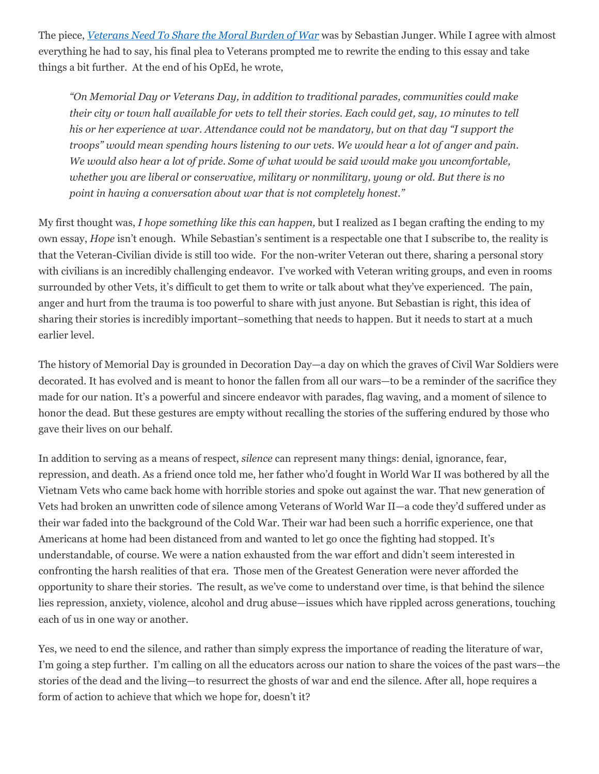The piece, *Veterans Need To Share the Moral Burden of War* was by Sebastian Junger. While I agree with almost everything he had to say, his final plea to Veterans prompted me to rewrite the ending to this essay and take things a bit further. At the end of his OpEd, he wrote,

*"On Memorial Day or Veterans Day, in addition to traditional parades, communities could make* their city or town hall available for vets to tell their stories. Each could get, say, 10 minutes to tell *his or her experience at war. Attendance could not be mandatory, but on that day "I support the troops" would mean spending hours listening to our vets. We would hear a lot of anger and pain. We would also hear a lot of pride. Some of what would be said would make you uncomfortable, whether you are liberal or conservative, military or nonmilitary, young or old. But there is no point in having a conversation about war that is not completely honest."*

My first thought was, *I hope something like this can happen,* but I realized as I began crafting the ending to my own essay, *Hope* isn't enough. While Sebastian's sentiment is a respectable one that I subscribe to, the reality is that the Veteran-Civilian divide is still too wide. For the non-writer Veteran out there, sharing a personal story with civilians is an incredibly challenging endeavor. I've worked with Veteran writing groups, and even in rooms surrounded by other Vets, it's difficult to get them to write or talk about what they've experienced. The pain, anger and hurt from the trauma is too powerful to share with just anyone. But Sebastian is right, this idea of sharing their stories is incredibly important–something that needs to happen. But it needs to start at a much earlier level.

The history of Memorial Day is grounded in Decoration Day—a day on which the graves of Civil War Soldiers were decorated. It has evolved and is meant to honor the fallen from all our wars—to be a reminder of the sacrifice they made for our nation. It's a powerful and sincere endeavor with parades, flag waving, and a moment of silence to honor the dead. But these gestures are empty without recalling the stories of the suffering endured by those who gave their lives on our behalf.

In addition to serving as a means of respect, *silence* can represent many things: denial, ignorance, fear, repression, and death. As a friend once told me, her father who'd fought in World War II was bothered by all the Vietnam Vets who came back home with horrible stories and spoke out against the war. That new generation of Vets had broken an unwritten code of silence among Veterans of World War II—a code they'd suffered under as their war faded into the background of the Cold War. Their war had been such a horrific experience, one that Americans at home had been distanced from and wanted to let go once the fighting had stopped. It's understandable, of course. We were a nation exhausted from the war effort and didn't seem interested in confronting the harsh realities of that era. Those men of the Greatest Generation were never afforded the opportunity to share their stories. The result, as we've come to understand over time, is that behind the silence lies repression, anxiety, violence, alcohol and drug abuse—issues which have rippled across generations, touching each of us in one way or another.

Yes, we need to end the silence, and rather than simply express the importance of reading the literature of war, I'm going a step further. I'm calling on all the educators across our nation to share the voices of the past wars—the stories of the dead and the living—to resurrect the ghosts of war and end the silence. After all, hope requires a form of action to achieve that which we hope for, doesn't it?